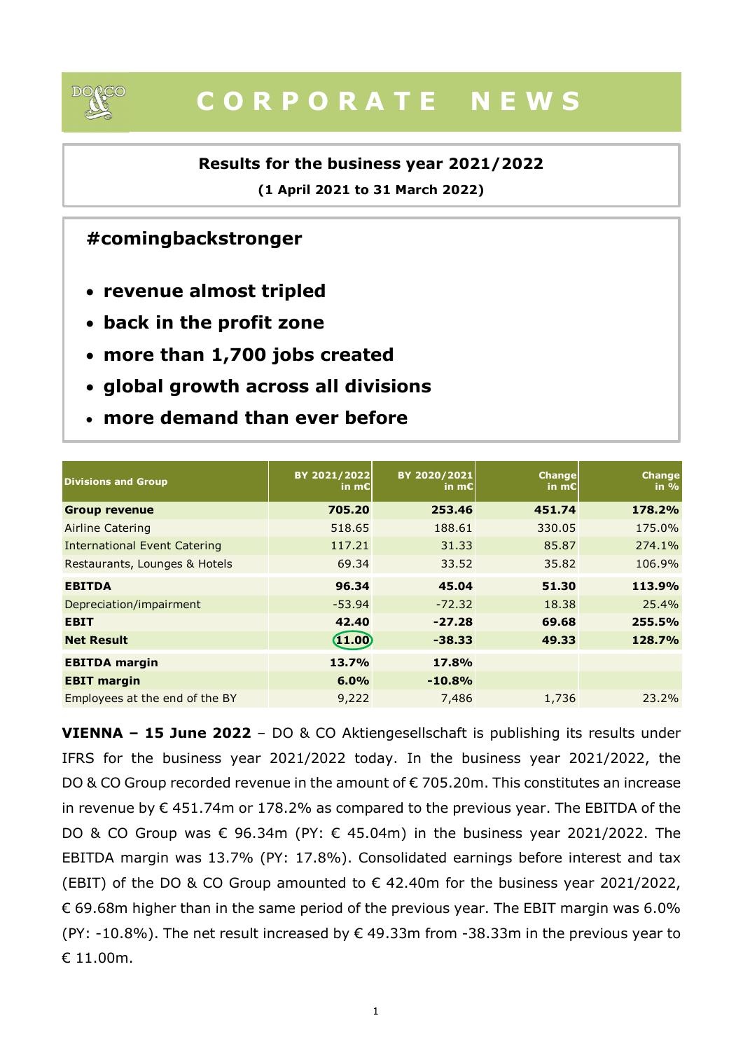

# C O R P O R A T E N E W S

## Results for the business year 2021/2022

## #comingbackstronger

- revenue almost tripled
- back in the profit zone
- more than 1,700 jobs created
- global growth across all divisions
- more demand than ever before

|                                                    | (1 April 2021 to 31 March 2022) |              |                 |               |
|----------------------------------------------------|---------------------------------|--------------|-----------------|---------------|
| #comingbackstronger                                |                                 |              |                 |               |
| • revenue almost tripled                           |                                 |              |                 |               |
| • back in the profit zone                          |                                 |              |                 |               |
| • more than 1,700 jobs created                     |                                 |              |                 |               |
|                                                    |                                 |              |                 |               |
| • global growth across all divisions               |                                 |              |                 |               |
| • more demand than ever before                     |                                 |              |                 |               |
|                                                    |                                 |              |                 |               |
|                                                    |                                 |              |                 |               |
|                                                    | BY 2021/2022                    | BY 2020/2021 | <b>Change</b>   | <b>Change</b> |
|                                                    | in $mE$                         | in $mE$      | in m $\epsilon$ | in $%$        |
| <b>Divisions and Group</b><br><b>Group revenue</b> | 705.20                          | 253.46       | 451.74          | 178.2%        |
| <b>Airline Catering</b>                            | 518.65                          | 188.61       | 330.05          | 175.0%        |
| <b>International Event Catering</b>                | 117.21                          | 31.33        | 85.87           | 274.1%        |
| Restaurants, Lounges & Hotels                      | 69.34                           | 33.52        | 35.82           | 106.9%        |
| <b>EBITDA</b>                                      | 96.34                           | 45.04        | 51.30           | 113.9%        |
|                                                    | $-53.94$                        | $-72.32$     | 18.38           | 25.4%         |
| Depreciation/impairment<br><b>EBIT</b>             | 42.40                           | $-27.28$     | 69.68           | 255.5%        |
| <b>Net Result</b>                                  | (1.00)                          | $-38.33$     | 49.33           | 128.7%        |
| <b>EBITDA</b> margin                               | 13.7%                           | 17.8%        |                 |               |
| <b>EBIT margin</b>                                 | 6.0%                            | $-10.8%$     |                 |               |

VIENNA – 15 June 2022 – DO & CO Aktiengesellschaft is publishing its results under IFRS for the business year 2021/2022 today. In the business year 2021/2022, the DO & CO Group recorded revenue in the amount of €705.20m. This constitutes an increase in revenue by  $\epsilon$  451.74m or 178.2% as compared to the previous year. The EBITDA of the DO & CO Group was € 96.34m (PY: € 45.04m) in the business year 2021/2022. The EBITDA margin was 13.7% (PY: 17.8%). Consolidated earnings before interest and tax (EBIT) of the DO & CO Group amounted to  $\epsilon$  42.40m for the business year 2021/2022,  $\epsilon$  69.68m higher than in the same period of the previous year. The EBIT margin was 6.0% (PY: -10.8%). The net result increased by  $\epsilon$  49.33m from -38.33m in the previous year to € 11.00m.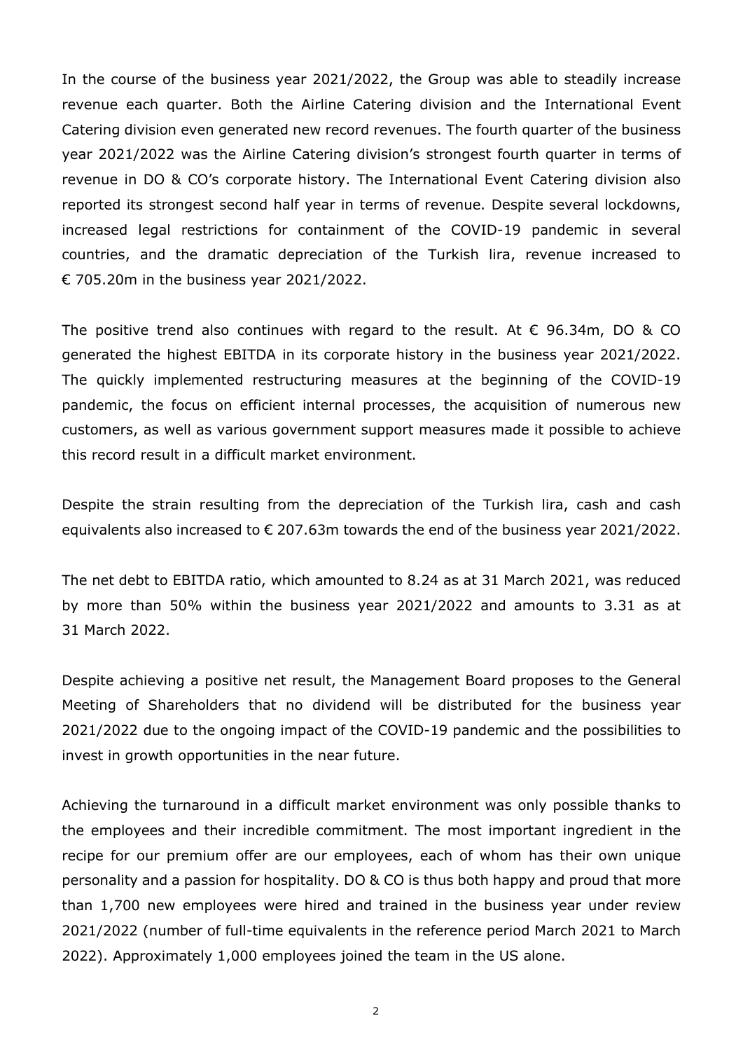In the course of the business year 2021/2022, the Group was able to steadily increase revenue each quarter. Both the Airline Catering division and the International Event Catering division even generated new record revenues. The fourth quarter of the business year 2021/2022 was the Airline Catering division's strongest fourth quarter in terms of revenue in DO & CO's corporate history. The International Event Catering division also reported its strongest second half year in terms of revenue. Despite several lockdowns, increased legal restrictions for containment of the COVID-19 pandemic in several countries, and the dramatic depreciation of the Turkish lira, revenue increased to € 705.20m in the business year 2021/2022.

The positive trend also continues with regard to the result. At  $\epsilon$  96.34m, DO & CO generated the highest EBITDA in its corporate history in the business year 2021/2022. The quickly implemented restructuring measures at the beginning of the COVID-19 pandemic, the focus on efficient internal processes, the acquisition of numerous new customers, as well as various government support measures made it possible to achieve this record result in a difficult market environment.

Despite the strain resulting from the depreciation of the Turkish lira, cash and cash equivalents also increased to  $\epsilon$  207.63m towards the end of the business year 2021/2022.

The net debt to EBITDA ratio, which amounted to 8.24 as at 31 March 2021, was reduced by more than 50% within the business year 2021/2022 and amounts to 3.31 as at 31 March 2022.

Despite achieving a positive net result, the Management Board proposes to the General Meeting of Shareholders that no dividend will be distributed for the business year 2021/2022 due to the ongoing impact of the COVID-19 pandemic and the possibilities to invest in growth opportunities in the near future.

Achieving the turnaround in a difficult market environment was only possible thanks to the employees and their incredible commitment. The most important ingredient in the recipe for our premium offer are our employees, each of whom has their own unique personality and a passion for hospitality. DO & CO is thus both happy and proud that more than 1,700 new employees were hired and trained in the business year under review 2021/2022 (number of full-time equivalents in the reference period March 2021 to March 2022). Approximately 1,000 employees joined the team in the US alone.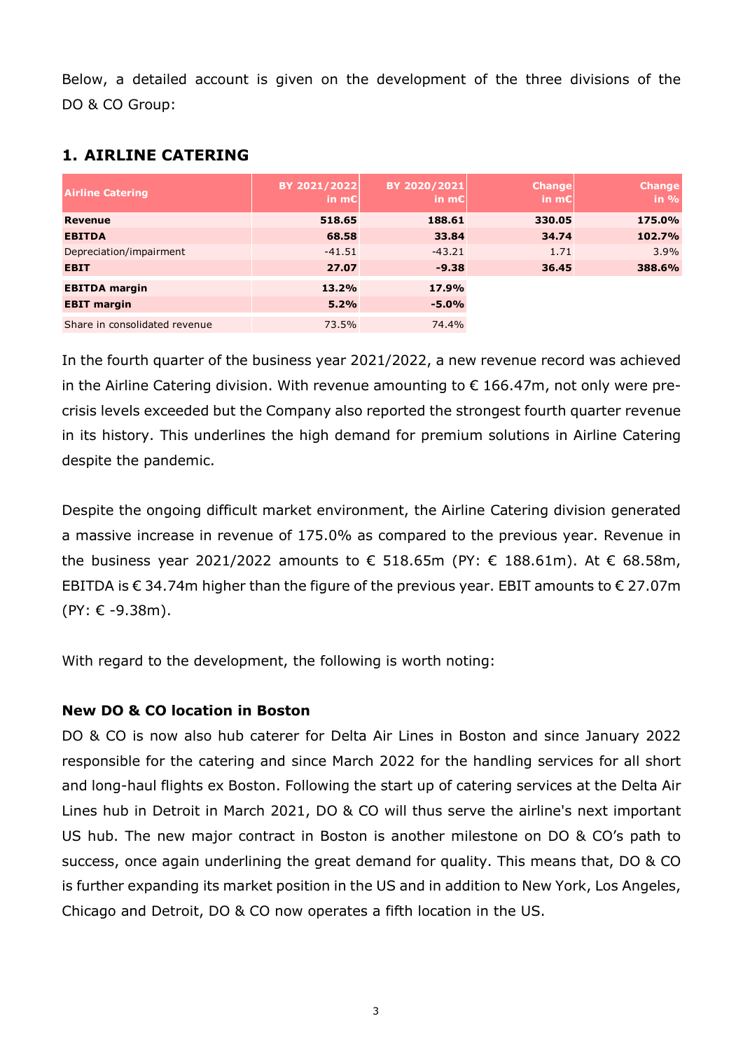| Below, a detailed account is given on the development of the three divisions of the |               |                  |               |               |
|-------------------------------------------------------------------------------------|---------------|------------------|---------------|---------------|
|                                                                                     |               |                  |               |               |
|                                                                                     |               |                  |               |               |
|                                                                                     |               |                  |               |               |
|                                                                                     |               |                  |               |               |
|                                                                                     |               |                  |               |               |
|                                                                                     |               |                  |               |               |
| DO & CO Group:                                                                      |               |                  |               |               |
|                                                                                     |               |                  |               |               |
|                                                                                     |               |                  |               |               |
| <b>1. AIRLINE CATERING</b>                                                          |               |                  |               |               |
|                                                                                     |               |                  |               |               |
|                                                                                     |               |                  |               |               |
|                                                                                     | BY 2021/2022  | BY 2020/2021     | <b>Change</b> | <b>Change</b> |
| <b>Airline Catering</b>                                                             | in $mE$       | in $mE$          | in $mE$       | in %          |
| Revenue                                                                             | 518.65        | 188.61           | 330.05        | 175.0%        |
| <b>EBITDA</b>                                                                       | 68.58         | 33.84            | 34.74         | 102.7%        |
| Depreciation/impairment                                                             | $-41.51$      | $-43.21$         | 1.71          | 3.9%          |
| <b>EBIT</b>                                                                         | 27.07         | $-9.38$          | 36.45         | 388.6%        |
|                                                                                     |               |                  |               |               |
| <b>EBITDA</b> margin                                                                | 13.2%         | 17.9%            |               |               |
| <b>EBIT margin</b><br>Share in consolidated revenue                                 | 5.2%<br>73.5% | $-5.0%$<br>74.4% |               |               |

## 1. AIRLINE CATERING

In the fourth quarter of the business year 2021/2022, a new revenue record was achieved in the Airline Catering division. With revenue amounting to  $\epsilon$  166.47m, not only were precrisis levels exceeded but the Company also reported the strongest fourth quarter revenue in its history. This underlines the high demand for premium solutions in Airline Catering despite the pandemic.

Despite the ongoing difficult market environment, the Airline Catering division generated a massive increase in revenue of 175.0% as compared to the previous year. Revenue in the business year 2021/2022 amounts to € 518.65m (PY:  $∈$  188.61m). At  $∈$  68.58m, EBITDA is  $\epsilon$  34.74m higher than the figure of the previous year. EBIT amounts to  $\epsilon$  27.07m (PY: € -9.38m).

With regard to the development, the following is worth noting:

## New DO & CO location in Boston

DO & CO is now also hub caterer for Delta Air Lines in Boston and since January 2022 responsible for the catering and since March 2022 for the handling services for all short and long-haul flights ex Boston. Following the start up of catering services at the Delta Air Lines hub in Detroit in March 2021, DO & CO will thus serve the airline's next important US hub. The new major contract in Boston is another milestone on DO & CO's path to success, once again underlining the great demand for quality. This means that, DO & CO is further expanding its market position in the US and in addition to New York, Los Angeles, Chicago and Detroit, DO & CO now operates a fifth location in the US.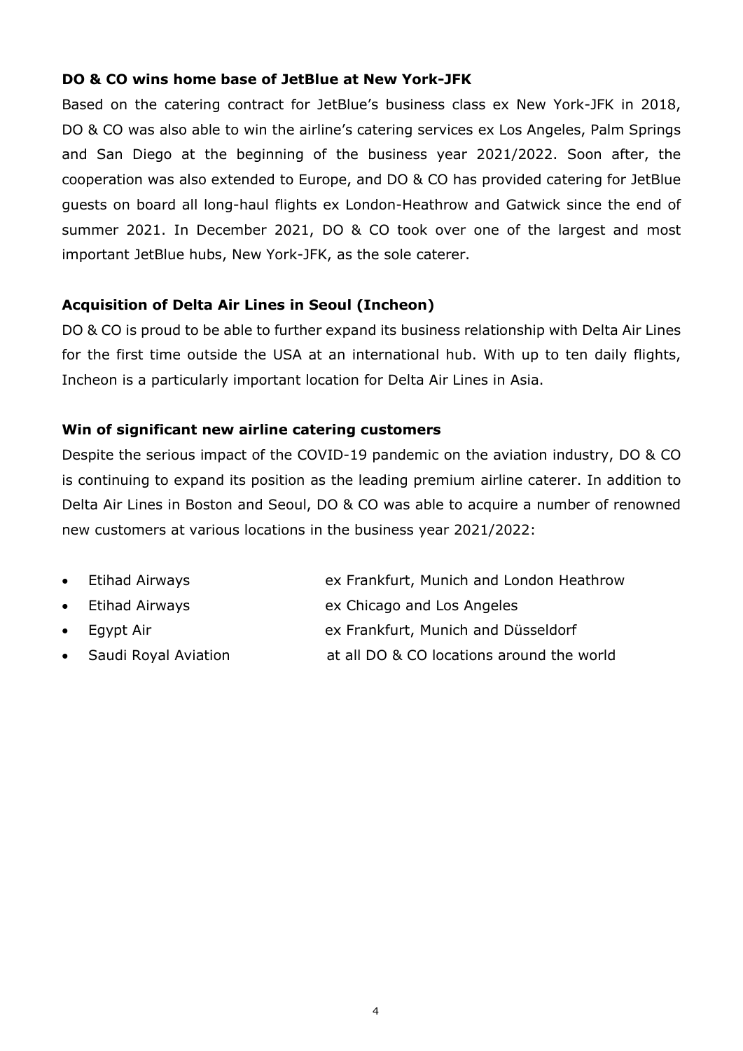### DO & CO wins home base of JetBlue at New York-JFK

Based on the catering contract for JetBlue's business class ex New York-JFK in 2018, DO & CO was also able to win the airline's catering services ex Los Angeles, Palm Springs and San Diego at the beginning of the business year 2021/2022. Soon after, the cooperation was also extended to Europe, and DO & CO has provided catering for JetBlue guests on board all long-haul flights ex London-Heathrow and Gatwick since the end of summer 2021. In December 2021, DO & CO took over one of the largest and most important JetBlue hubs, New York-JFK, as the sole caterer.

### Acquisition of Delta Air Lines in Seoul (Incheon)

DO & CO is proud to be able to further expand its business relationship with Delta Air Lines for the first time outside the USA at an international hub. With up to ten daily flights, Incheon is a particularly important location for Delta Air Lines in Asia.

### Win of significant new airline catering customers

Despite the serious impact of the COVID-19 pandemic on the aviation industry, DO & CO is continuing to expand its position as the leading premium airline caterer. In addition to Delta Air Lines in Boston and Seoul, DO & CO was able to acquire a number of renowned new customers at various locations in the business year 2021/2022:

- Etihad Airways ex Frankfurt, Munich and London Heathrow
- Etihad Airways ex Chicago and Los Angeles
- Egypt Air ex Frankfurt, Munich and Düsseldorf
	- Saudi Royal Aviation at all DO & CO locations around the world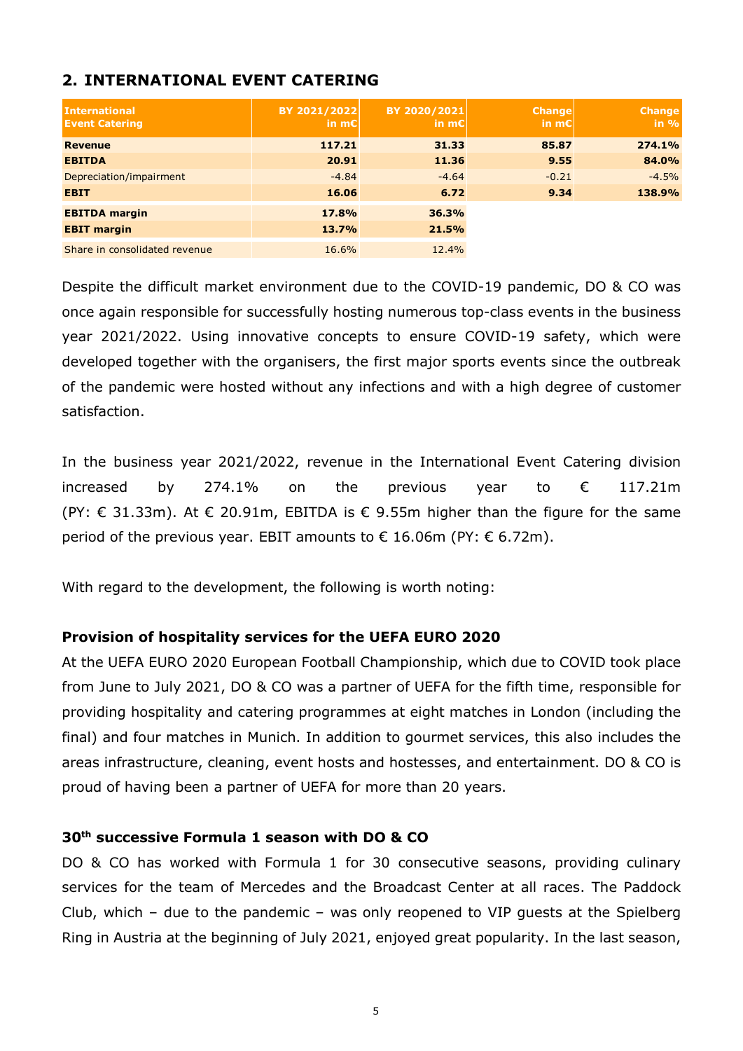## 2. INTERNATIONAL EVENT CATERING

| <b>International</b><br><b>Event Catering</b> | BY 2021/2022<br>$\mathsf{in} \ \mathsf{mCl}$ | BY 2020/2021<br>in $m\epsilon$ | <b>Change</b><br><b>in m€l</b> | <b>Change</b><br>$in \%$ |
|-----------------------------------------------|----------------------------------------------|--------------------------------|--------------------------------|--------------------------|
| <b>Revenue</b>                                | 117.21                                       | 31.33                          | 85.87                          | 274.1%                   |
| <b>EBITDA</b>                                 | 20.91                                        | 11.36                          | 9.55                           | 84.0%                    |
| Depreciation/impairment                       | $-4.84$                                      | $-4.64$                        | $-0.21$                        | $-4.5%$                  |
| <b>EBIT</b>                                   | 16.06                                        | 6.72                           | 9.34                           | 138.9%                   |
| <b>EBITDA</b> margin                          | 17.8%                                        | 36.3%                          |                                |                          |
| <b>EBIT margin</b>                            | 13.7%                                        | 21.5%                          |                                |                          |
| Share in consolidated revenue                 | 16.6%                                        | 12.4%                          |                                |                          |

Despite the difficult market environment due to the COVID-19 pandemic, DO & CO was once again responsible for successfully hosting numerous top-class events in the business year 2021/2022. Using innovative concepts to ensure COVID-19 safety, which were developed together with the organisers, the first major sports events since the outbreak of the pandemic were hosted without any infections and with a high degree of customer satisfaction.

In the business year 2021/2022, revenue in the International Event Catering division increased by 274.1% on the previous year to € 117.21m (PY:  $\epsilon$  31.33m). At  $\epsilon$  20.91m, EBITDA is  $\epsilon$  9.55m higher than the figure for the same period of the previous year. EBIT amounts to  $\epsilon$  16.06m (PY:  $\epsilon$  6.72m).

With regard to the development, the following is worth noting:

#### Provision of hospitality services for the UEFA EURO 2020

At the UEFA EURO 2020 European Football Championship, which due to COVID took place from June to July 2021, DO & CO was a partner of UEFA for the fifth time, responsible for providing hospitality and catering programmes at eight matches in London (including the final) and four matches in Munich. In addition to gourmet services, this also includes the areas infrastructure, cleaning, event hosts and hostesses, and entertainment. DO & CO is proud of having been a partner of UEFA for more than 20 years.

#### 30th successive Formula 1 season with DO & CO

DO & CO has worked with Formula 1 for 30 consecutive seasons, providing culinary services for the team of Mercedes and the Broadcast Center at all races. The Paddock Club, which – due to the pandemic – was only reopened to VIP guests at the Spielberg Ring in Austria at the beginning of July 2021, enjoyed great popularity. In the last season,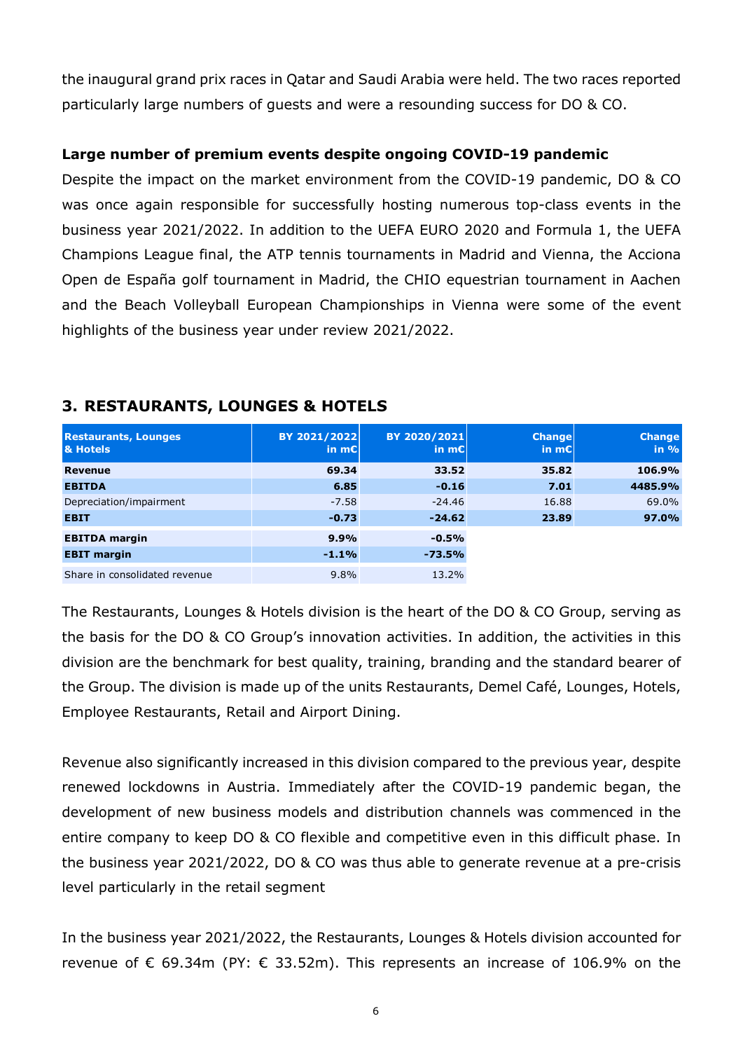the inaugural grand prix races in Qatar and Saudi Arabia were held. The two races reported particularly large numbers of guests and were a resounding success for DO & CO.

### Large number of premium events despite ongoing COVID-19 pandemic

Despite the impact on the market environment from the COVID-19 pandemic, DO & CO was once again responsible for successfully hosting numerous top-class events in the business year 2021/2022. In addition to the UEFA EURO 2020 and Formula 1, the UEFA Champions League final, the ATP tennis tournaments in Madrid and Vienna, the Acciona Open de España golf tournament in Madrid, the CHIO equestrian tournament in Aachen and the Beach Volleyball European Championships in Vienna were some of the event highlights of the business year under review 2021/2022. Large number of premium events despite ongoing COVID-19 pandemic<br>
Despite the impact on the market environment from the COVID-19 pandemic, DO & CO<br>
was once again responsible for successfully hosting numerous top-class eve Large number of premium events despite ongoing COVID-19 pandemic, DO & CO<br>
EBS of eaglin responsible for successfully hosting numerous top-class events in the<br>
was once again responsible for successfully hosting numerous t Despite the impact on the market environment from the COVID-19 pandemic, DO & CO<br>
was once again responsible for successfully hosting numerous top-class events in the<br>
uusiness year 2021/2022. In addition to the UEFA EURO

| Despite the impact on the mantet christianism in the covers is panaering, bo                 |              |              |                            |               |
|----------------------------------------------------------------------------------------------|--------------|--------------|----------------------------|---------------|
| was once again responsible for successfully hosting numerous top-class events in the         |              |              |                            |               |
| business year 2021/2022. In addition to the UEFA EURO 2020 and Formula 1, the UEFA           |              |              |                            |               |
| Champions League final, the ATP tennis tournaments in Madrid and Vienna, the Acciona         |              |              |                            |               |
| Open de España golf tournament in Madrid, the CHIO equestrian tournament in Aachen           |              |              |                            |               |
| and the Beach Volleyball European Championships in Vienna were some of the event             |              |              |                            |               |
| highlights of the business year under review 2021/2022.                                      |              |              |                            |               |
| <b>3. RESTAURANTS, LOUNGES &amp; HOTELS</b><br><b>Restaurants, Lounges</b>                   | BY 2021/2022 | BY 2020/2021 | <b>Change</b>              | <b>Change</b> |
| & Hotels                                                                                     | ∣in m€l      | in $mC$      | $\left  \text{in} \right $ | in $%$        |
| Revenue                                                                                      | 69.34        | 33.52        | 35.82                      | 106.9%        |
| <b>EBITDA</b>                                                                                | 6.85         | $-0.16$      | 7.01                       | 4485.9%       |
| Depreciation/impairment                                                                      | $-7.58$      | $-24.46$     | 16.88                      | 69.0%         |
| <b>EBIT</b>                                                                                  | $-0.73$      | $-24.62$     | 23.89                      | 97.0%         |
| <b>EBITDA</b> margin                                                                         | 9.9%         | $-0.5%$      |                            |               |
| <b>EBIT margin</b>                                                                           | $-1.1%$      | $-73.5%$     |                            |               |
| Share in consolidated revenue                                                                | 9.8%         | 13.2%        |                            |               |
| The Restaurants, Lounges & Hotels division is the heart of the DO & CO Group, serving as     |              |              |                            |               |
|                                                                                              |              |              |                            |               |
| the basis for the DO & CO Group's innovation activities. In addition, the activities in this |              |              |                            |               |

## 3. RESTAURANTS, LOUNGES & HOTELS

The Restaurants, Lounges & Hotels division is the heart of the DO & CO Group, serving as the basis for the DO & CO Group's innovation activities. In addition, the activities in this division are the benchmark for best quality, training, branding and the standard bearer of the Group. The division is made up of the units Restaurants, Demel Café, Lounges, Hotels, Employee Restaurants, Retail and Airport Dining.

Revenue also significantly increased in this division compared to the previous year, despite renewed lockdowns in Austria. Immediately after the COVID-19 pandemic began, the development of new business models and distribution channels was commenced in the entire company to keep DO & CO flexible and competitive even in this difficult phase. In the business year 2021/2022, DO & CO was thus able to generate revenue at a pre-crisis level particularly in the retail segment

In the business year 2021/2022, the Restaurants, Lounges & Hotels division accounted for revenue of  $\epsilon$  69.34m (PY:  $\epsilon$  33.52m). This represents an increase of 106.9% on the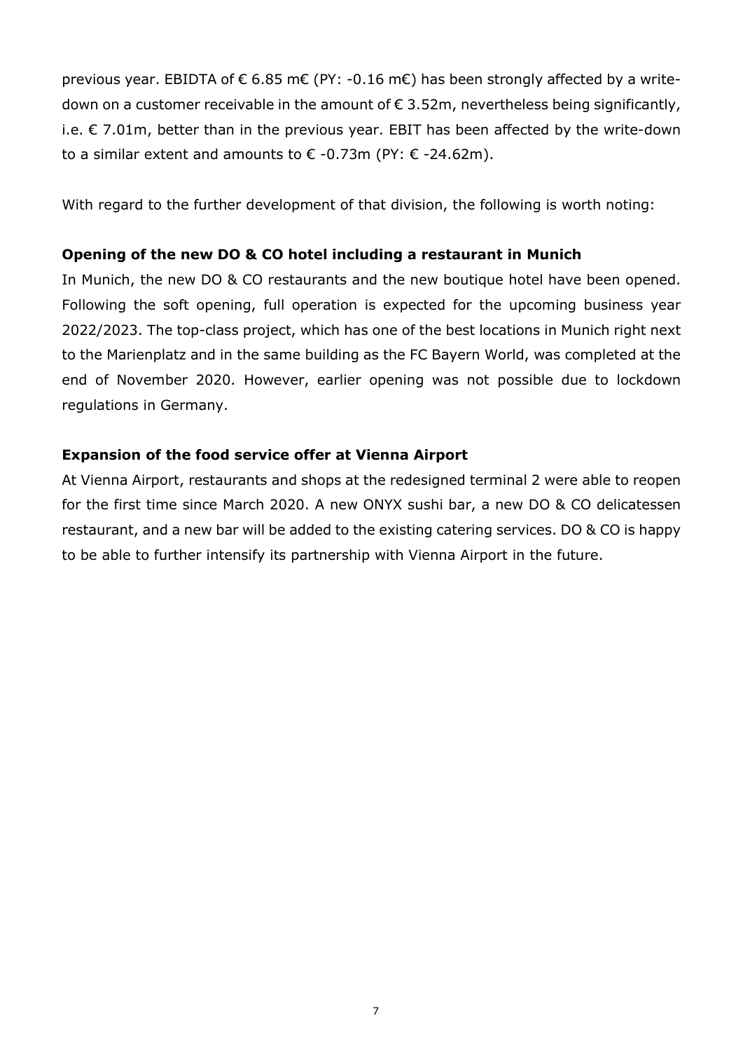previous year. EBIDTA of  $\epsilon$  6.85 m $\epsilon$  (PY: -0.16 m $\epsilon$ ) has been strongly affected by a writedown on a customer receivable in the amount of  $\epsilon$  3.52m, nevertheless being significantly, i.e.  $\epsilon$  7.01m, better than in the previous year. EBIT has been affected by the write-down to a similar extent and amounts to  $\epsilon$  -0.73m (PY:  $\epsilon$  -24.62m).

With regard to the further development of that division, the following is worth noting:

#### Opening of the new DO & CO hotel including a restaurant in Munich

In Munich, the new DO & CO restaurants and the new boutique hotel have been opened. Following the soft opening, full operation is expected for the upcoming business year 2022/2023. The top-class project, which has one of the best locations in Munich right next to the Marienplatz and in the same building as the FC Bayern World, was completed at the end of November 2020. However, earlier opening was not possible due to lockdown regulations in Germany.

#### Expansion of the food service offer at Vienna Airport

At Vienna Airport, restaurants and shops at the redesigned terminal 2 were able to reopen for the first time since March 2020. A new ONYX sushi bar, a new DO & CO delicatessen restaurant, and a new bar will be added to the existing catering services. DO & CO is happy to be able to further intensify its partnership with Vienna Airport in the future.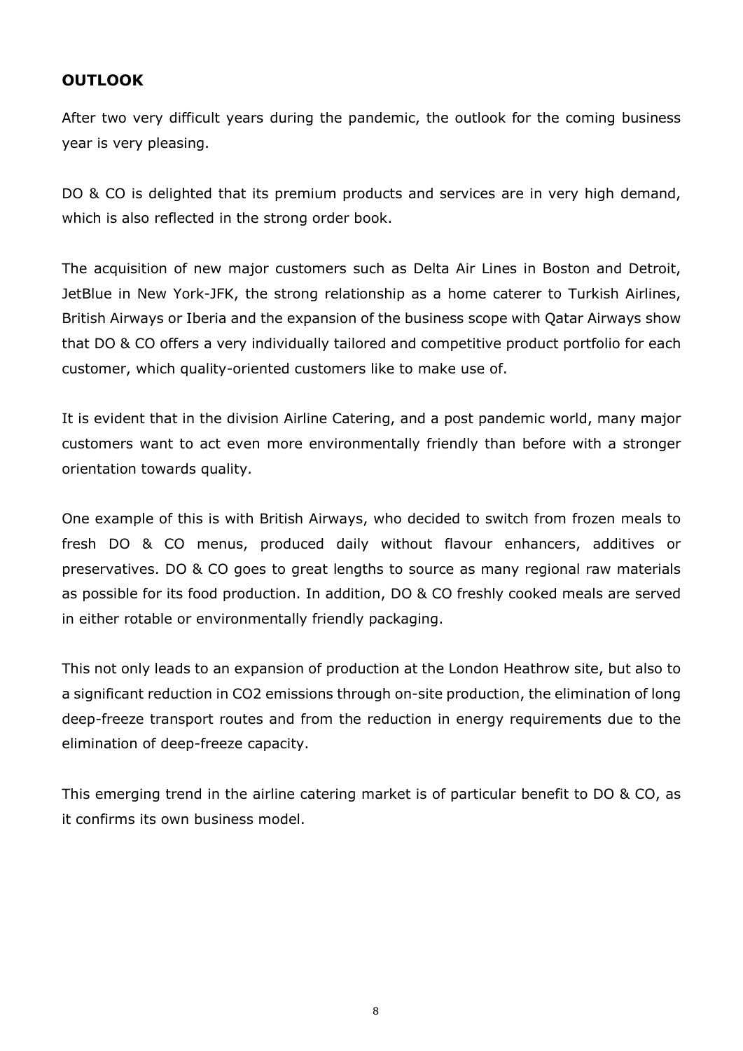## **OUTLOOK**

After two very difficult years during the pandemic, the outlook for the coming business year is very pleasing.

DO & CO is delighted that its premium products and services are in very high demand, which is also reflected in the strong order book.

The acquisition of new major customers such as Delta Air Lines in Boston and Detroit, JetBlue in New York-JFK, the strong relationship as a home caterer to Turkish Airlines, British Airways or Iberia and the expansion of the business scope with Qatar Airways show that DO & CO offers a very individually tailored and competitive product portfolio for each customer, which quality-oriented customers like to make use of.

It is evident that in the division Airline Catering, and a post pandemic world, many major customers want to act even more environmentally friendly than before with a stronger orientation towards quality.

One example of this is with British Airways, who decided to switch from frozen meals to fresh DO & CO menus, produced daily without flavour enhancers, additives or preservatives. DO & CO goes to great lengths to source as many regional raw materials as possible for its food production. In addition, DO & CO freshly cooked meals are served in either rotable or environmentally friendly packaging.

This not only leads to an expansion of production at the London Heathrow site, but also to a significant reduction in CO2 emissions through on-site production, the elimination of long deep-freeze transport routes and from the reduction in energy requirements due to the elimination of deep-freeze capacity.

This emerging trend in the airline catering market is of particular benefit to DO & CO, as it confirms its own business model.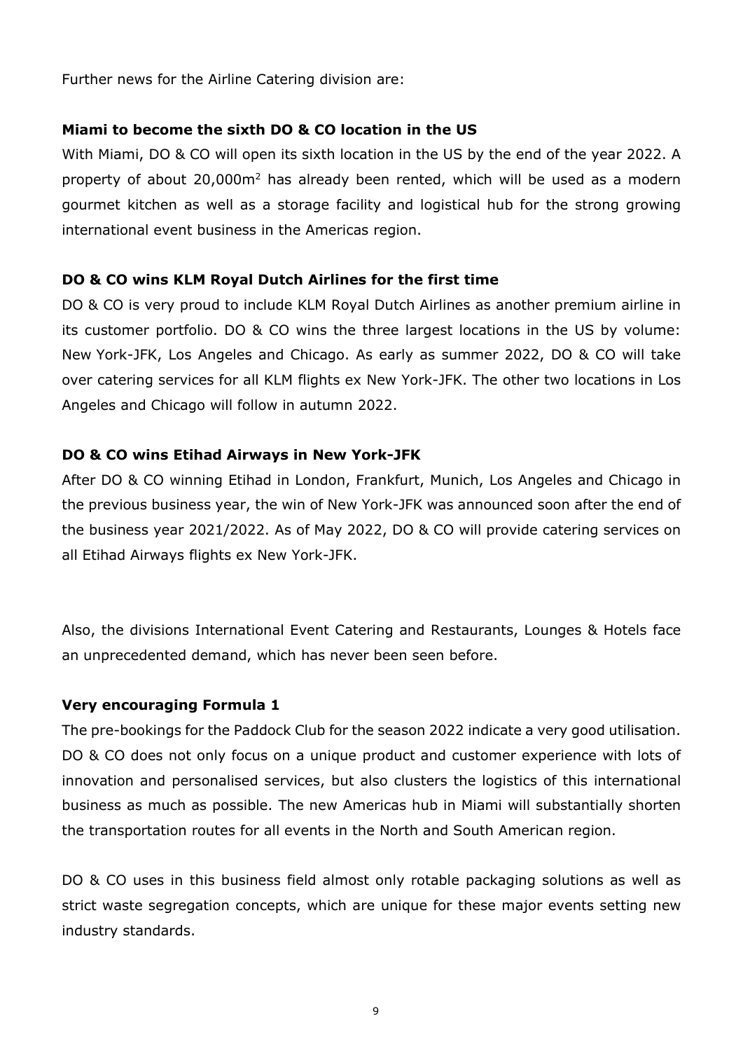Further news for the Airline Catering division are:

#### Miami to become the sixth DO & CO location in the US

With Miami, DO & CO will open its sixth location in the US by the end of the year 2022. A property of about 20,000m<sup>2</sup> has already been rented, which will be used as a modern gourmet kitchen as well as a storage facility and logistical hub for the strong growing international event business in the Americas region.

#### DO & CO wins KLM Royal Dutch Airlines for the first time

DO & CO is very proud to include KLM Royal Dutch Airlines as another premium airline in its customer portfolio. DO & CO wins the three largest locations in the US by volume: New York-JFK, Los Angeles and Chicago. As early as summer 2022, DO & CO will take over catering services for all KLM flights ex New York-JFK. The other two locations in Los Angeles and Chicago will follow in autumn 2022.

#### DO & CO wins Etihad Airways in New York-JFK

After DO & CO winning Etihad in London, Frankfurt, Munich, Los Angeles and Chicago in the previous business year, the win of New York-JFK was announced soon after the end of the business year 2021/2022. As of May 2022, DO & CO will provide catering services on all Etihad Airways flights ex New York-JFK.

Also, the divisions International Event Catering and Restaurants, Lounges & Hotels face an unprecedented demand, which has never been seen before.

#### Very encouraging Formula 1

The pre-bookings for the Paddock Club for the season 2022 indicate a very good utilisation. DO & CO does not only focus on a unique product and customer experience with lots of innovation and personalised services, but also clusters the logistics of this international business as much as possible. The new Americas hub in Miami will substantially shorten the transportation routes for all events in the North and South American region.

DO & CO uses in this business field almost only rotable packaging solutions as well as strict waste segregation concepts, which are unique for these major events setting new industry standards.